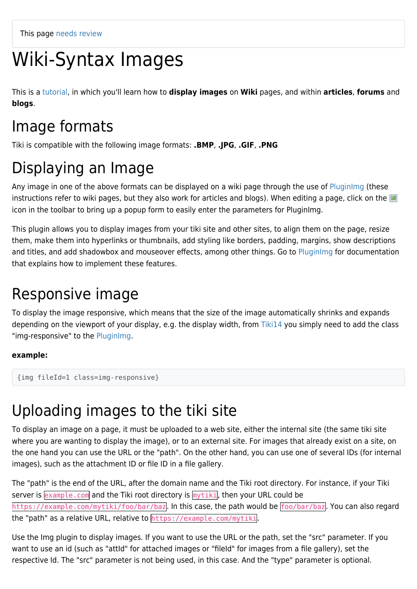# Wiki-Syntax Images

This is a [tutorial](https://doc.tiki.org/tutorial), in which you'll learn how to **display images** on **Wiki** pages, and within **articles**, **forums** and **blogs**.

### Image formats

Tiki is compatible with the following image formats: **.BMP**, **.JPG**, **.GIF**, **.PNG**

## Displaying an Image

Any image in one of the above formats can be displayed on a wiki page through the use of [PluginImg](https://doc.tiki.org/PluginImg) (these instructions refer to wiki pages, but they also work for articles and blogs). When editing a page, click on the icon in the toolbar to bring up a popup form to easily enter the parameters for PluginImg.

This plugin allows you to display images from your tiki site and other sites, to align them on the page, resize them, make them into hyperlinks or thumbnails, add styling like borders, padding, margins, show descriptions and titles, and add shadowbox and mouseover effects, among other things. Go to Pluginimg for documentation that explains how to implement these features.

## Responsive image

To display the image responsive, which means that the size of the image automatically shrinks and expands depending on the viewport of your display, e.g. the display width, from [Tiki14](https://doc.tiki.org/Tiki14) you simply need to add the class "img-responsive" to the [PluginImg.](https://doc.tiki.org/PluginImg)

#### **example:**

```
{img fileId=1 class=img-responsive}
```
### Uploading images to the tiki site

To display an image on a page, it must be uploaded to a web site, either the internal site (the same tiki site where you are wanting to display the image), or to an external site. For images that already exist on a site, on the one hand you can use the URL or the "path". On the other hand, you can use one of several IDs (for internal images), such as the attachment ID or file ID in a file gallery.

The "path" is the end of the URL, after the domain name and the Tiki root directory. For instance, if your Tiki server is example.com and the Tiki root directory is mytiki, then your URL could be https://example.com/mytiki/foo/bar/baz. In this case, the path would be foo/bar/baz. You can also regard the "path" as a relative URL, relative to https://example.com/mytiki.

Use the Img plugin to display images. If you want to use the URL or the path, set the "src" parameter. If you want to use an id (such as "attId" for attached images or "fileId" for images from a file gallery), set the respective Id. The "src" parameter is not being used, in this case. And the "type" parameter is optional.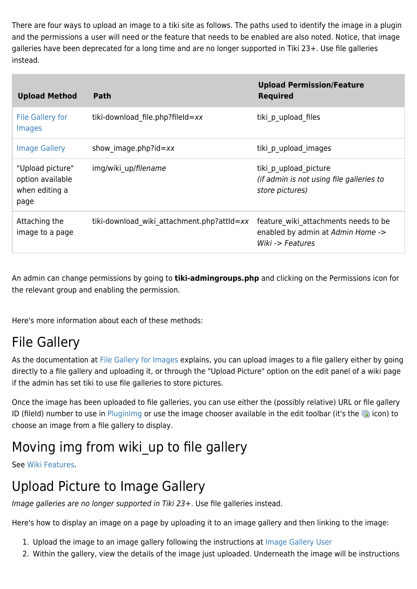There are four ways to upload an image to a tiki site as follows. The paths used to identify the image in a plugin and the permissions a user will need or the feature that needs to be enabled are also noted. Notice, that image galleries have been deprecated for a long time and are no longer supported in Tiki 23+. Use file galleries instead.

| <b>Upload Method</b>                                           | <b>Path</b>                                | <b>Upload Permission/Feature</b><br><b>Required</b>                                           |
|----------------------------------------------------------------|--------------------------------------------|-----------------------------------------------------------------------------------------------|
| <b>File Gallery for</b><br>Images                              | tiki-download file.php?fileId=xx           | tiki p upload files                                                                           |
| <b>Image Gallery</b>                                           | show image.php?id= $xx$                    | tiki p upload images                                                                          |
| "Upload picture"<br>option available<br>when editing a<br>page | img/wiki up/filename                       | tiki p upload picture<br>(if admin is not using file galleries to<br>store pictures)          |
| Attaching the<br>image to a page                               | tiki-download wiki attachment.php?attId=xx | feature wiki attachments needs to be<br>enabled by admin at Admin Home -><br>Wiki -> Features |

An admin can change permissions by going to **tiki-admingroups.php** and clicking on the Permissions icon for the relevant group and enabling the permission.

Here's more information about each of these methods:

#### File Gallery

As the documentation at [File Gallery for Images](https://doc.tiki.org/File-Gallery-for-Images) explains, you can upload images to a file gallery either by going directly to a file gallery and uploading it, or through the "Upload Picture" option on the edit panel of a wiki page if the admin has set tiki to use file galleries to store pictures.

Once the image has been uploaded to file galleries, you can use either the (possibly relative) URL or file gallery ID (fileId) number to use in [PluginImg](https://doc.tiki.org/PluginImg) or use the image chooser available in the edit toolbar (it's the  $\Box$  icon) to choose an image from a file gallery to display.

#### Moving img from wiki up to file gallery

See [Wiki Features](https://doc.tiki.org/Wiki-Features).

#### Upload Picture to Image Gallery

Image galleries are no longer supported in Tiki 23+. Use file galleries instead.

Here's how to display an image on a page by uploading it to an image gallery and then linking to the image:

- 1. Upload the image to an image gallery following the instructions at [Image Gallery User](https://doc.tiki.org/Image-Gallery-User)
- 2. Within the gallery, view the details of the image just uploaded. Underneath the image will be instructions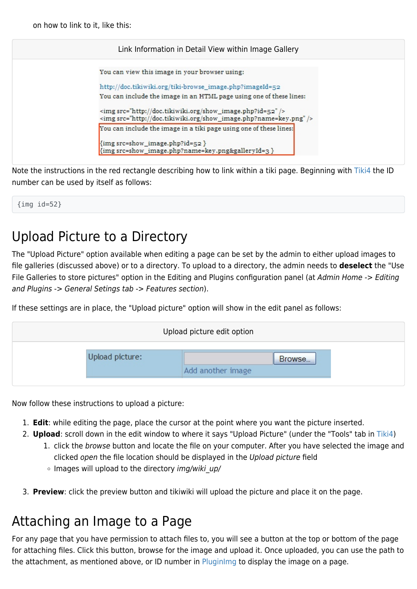on how to link to it, like this:

| Link Information in Detail View within Image Gallery |                                                                                                                               |  |  |  |
|------------------------------------------------------|-------------------------------------------------------------------------------------------------------------------------------|--|--|--|
|                                                      | You can view this image in your browser using:                                                                                |  |  |  |
|                                                      | http://doc.tikiwiki.org/tiki-browse_image.php?imageId=52                                                                      |  |  |  |
|                                                      | You can include the image in an HTML page using one of these lines:                                                           |  |  |  |
|                                                      | <img src="http://doc.tikiwiki.org/show_image.php?id=52"/><br><img src="http://doc.tikiwiki.org/show_image.php?name=key.png"/> |  |  |  |
|                                                      | You can include the image in a tiki page using one of these lines:                                                            |  |  |  |
|                                                      | {img src=show_image.php?id=52 }                                                                                               |  |  |  |
|                                                      | {img src=show_image.php?name=key.png&galleryId=3 }                                                                            |  |  |  |

Note the instructions in the red rectangle describing how to link within a tiki page. Beginning with [Tiki4](https://doc.tiki.org/Tiki4) the ID number can be used by itself as follows:

{img id=52}

#### Upload Picture to a Directory

The "Upload Picture" option available when editing a page can be set by the admin to either upload images to file galleries (discussed above) or to a directory. To upload to a directory, the admin needs to **deselect** the "Use File Galleries to store pictures" option in the Editing and Plugins configuration panel (at Admin Home -> Editing and Plugins -> General Setings tab -> Features section).

If these settings are in place, the "Upload picture" option will show in the edit panel as follows:



Now follow these instructions to upload a picture:

- 1. **Edit**: while editing the page, place the cursor at the point where you want the picture inserted.
- 2. **Upload**: scroll down in the edit window to where it says "Upload Picture" (under the "Tools" tab in [Tiki4\)](https://doc.tiki.org/Tiki4)
	- 1. click the browse button and locate the file on your computer. After you have selected the image and clicked open the file location should be displayed in the Upload picture field
	- $\circ$  Images will upload to the directory img/wiki up/
- 3. **Preview**: click the preview button and tikiwiki will upload the picture and place it on the page.

#### Attaching an Image to a Page

For any page that you have permission to attach files to, you will see a button at the top or bottom of the page for attaching files. Click this button, browse for the image and upload it. Once uploaded, you can use the path to the attachment, as mentioned above, or ID number in [PluginImg](https://doc.tiki.org/PluginImg) to display the image on a page.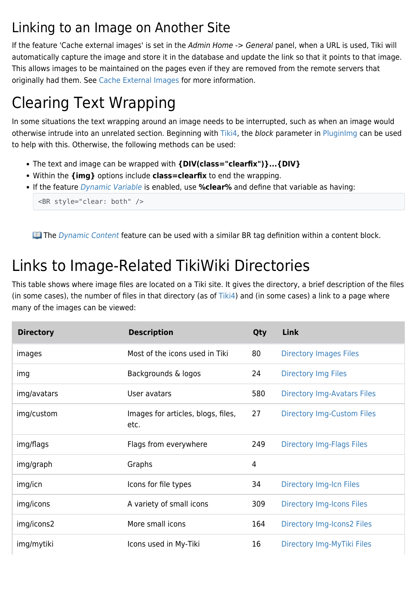#### Linking to an Image on Another Site

If the feature 'Cache external images' is set in the Admin Home -> General panel, when a URL is used, Tiki will automatically capture the image and store it in the database and update the link so that it points to that image. This allows images to be maintained on the pages even if they are removed from the remote servers that originally had them. See [Cache External Images](https://doc.tiki.org/Cache-External-Images) for more information.

## Clearing Text Wrapping

In some situations the text wrapping around an image needs to be interrupted, such as when an image would otherwise intrude into an unrelated section. Beginning with [Tiki4,](https://doc.tiki.org/Tiki4) the block parameter in [PluginImg](https://doc.tiki.org/PluginImg) can be used to help with this. Otherwise, the following methods can be used:

- The text and image can be wrapped with **{DIV(class="clearfix")}...{DIV}**
- Within the **{img}** options include **class=clearfix** to end the wrapping.
- If the feature [Dynamic Variable](https://doc.tiki.org/Dynamic-Variable) is enabled, use **%clear%** and define that variable as having:

```
<BR style="clear: both" />
```
**The [Dynamic Content](https://doc.tiki.org/Dynamic-Content) feature can be used with a similar BR tag definition within a content block.** 

## Links to Image-Related TikiWiki Directories

This table shows where image files are located on a Tiki site. It gives the directory, a brief description of the files (in some cases), the number of files in that directory (as of  $Tiki4$ ) and (in some cases) a link to a page where many of the images can be viewed:

| <b>Directory</b> | <b>Description</b>                         | Qty | <b>Link</b>                        |
|------------------|--------------------------------------------|-----|------------------------------------|
| images           | Most of the icons used in Tiki             | 80  | <b>Directory Images Files</b>      |
| img              | Backgrounds & logos                        | 24  | <b>Directory Img Files</b>         |
| img/avatars      | User avatars                               | 580 | <b>Directory Img-Avatars Files</b> |
| img/custom       | Images for articles, blogs, files,<br>etc. | 27  | <b>Directory Img-Custom Files</b>  |
| img/flags        | Flags from everywhere                      | 249 | <b>Directory Img-Flags Files</b>   |
| img/graph        | Graphs                                     | 4   |                                    |
| img/icn          | Icons for file types                       | 34  | <b>Directory Img-Icn Files</b>     |
| img/icons        | A variety of small icons                   | 309 | <b>Directory Img-Icons Files</b>   |
| img/icons2       | More small icons                           | 164 | Directory Img-Icons2 Files         |
| img/mytiki       | Icons used in My-Tiki                      | 16  | Directory Img-MyTiki Files         |